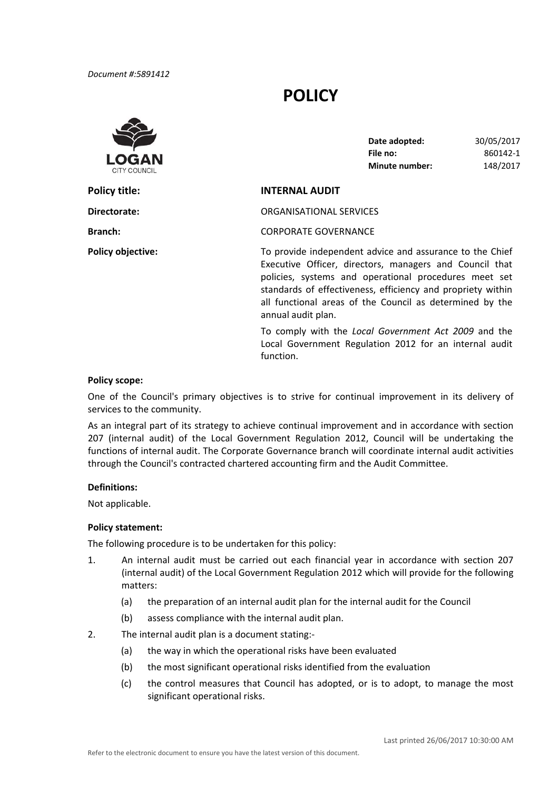# **POLICY**



| Date adopted:  | 30/05/2017 |
|----------------|------------|
| File no:       | 860142-1   |
| Minute number: | 148/2017   |

## **Policy title: INTERNAL AUDIT**

**Directorate:** ORGANISATIONAL SERVICES

**Branch:** CORPORATE GOVERNANCE

**Policy objective: Conservent Conservant Conservant To provide independent advice and assurance to the Chief**  Executive Officer, directors, managers and Council that policies, systems and operational procedures meet set standards of effectiveness, efficiency and propriety within all functional areas of the Council as determined by the annual audit plan.

> To comply with the *Local Government Act 2009* and the Local Government Regulation 2012 for an internal audit function.

#### **Policy scope:**

One of the Council's primary objectives is to strive for continual improvement in its delivery of services to the community.

As an integral part of its strategy to achieve continual improvement and in accordance with section 207 (internal audit) of the Local Government Regulation 2012, Council will be undertaking the functions of internal audit. The Corporate Governance branch will coordinate internal audit activities through the Council's contracted chartered accounting firm and the Audit Committee.

#### **Definitions:**

Not applicable.

#### **Policy statement:**

The following procedure is to be undertaken for this policy:

- 1. An internal audit must be carried out each financial year in accordance with section 207 (internal audit) of the Local Government Regulation 2012 which will provide for the following matters:
	- (a) the preparation of an internal audit plan for the internal audit for the Council
	- (b) assess compliance with the internal audit plan.
- 2. The internal audit plan is a document stating:‐
	- (a) the way in which the operational risks have been evaluated
	- (b) the most significant operational risks identified from the evaluation
	- (c) the control measures that Council has adopted, or is to adopt, to manage the most significant operational risks.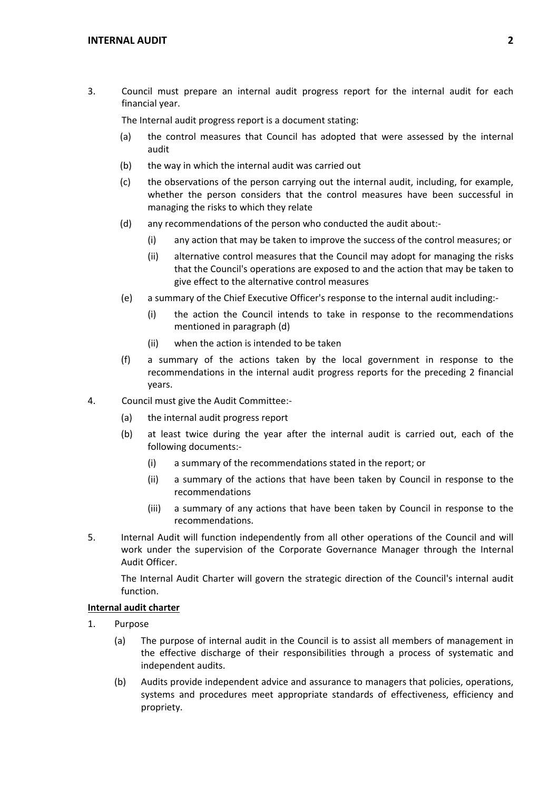3. Council must prepare an internal audit progress report for the internal audit for each financial year.

The Internal audit progress report is a document stating:

- (a) the control measures that Council has adopted that were assessed by the internal audit
- (b) the way in which the internal audit was carried out
- (c) the observations of the person carrying out the internal audit, including, for example, whether the person considers that the control measures have been successful in managing the risks to which they relate
- (d) any recommendations of the person who conducted the audit about:‐
	- (i) any action that may be taken to improve the success of the control measures; or
	- (ii) alternative control measures that the Council may adopt for managing the risks that the Council's operations are exposed to and the action that may be taken to give effect to the alternative control measures
- (e) a summary of the Chief Executive Officer's response to the internal audit including:‐
	- (i) the action the Council intends to take in response to the recommendations mentioned in paragraph (d)
	- (ii) when the action is intended to be taken
- (f) a summary of the actions taken by the local government in response to the recommendations in the internal audit progress reports for the preceding 2 financial years.
- 4. Council must give the Audit Committee:‐
	- (a) the internal audit progress report
	- (b) at least twice during the year after the internal audit is carried out, each of the following documents:‐
		- (i) a summary of the recommendations stated in the report; or
		- (ii) a summary of the actions that have been taken by Council in response to the recommendations
		- (iii) a summary of any actions that have been taken by Council in response to the recommendations.
- 5. Internal Audit will function independently from all other operations of the Council and will work under the supervision of the Corporate Governance Manager through the Internal Audit Officer.

The Internal Audit Charter will govern the strategic direction of the Council's internal audit function.

## **Internal audit charter**

- 1. Purpose
	- (a) The purpose of internal audit in the Council is to assist all members of management in the effective discharge of their responsibilities through a process of systematic and independent audits.
	- (b) Audits provide independent advice and assurance to managers that policies, operations, systems and procedures meet appropriate standards of effectiveness, efficiency and propriety.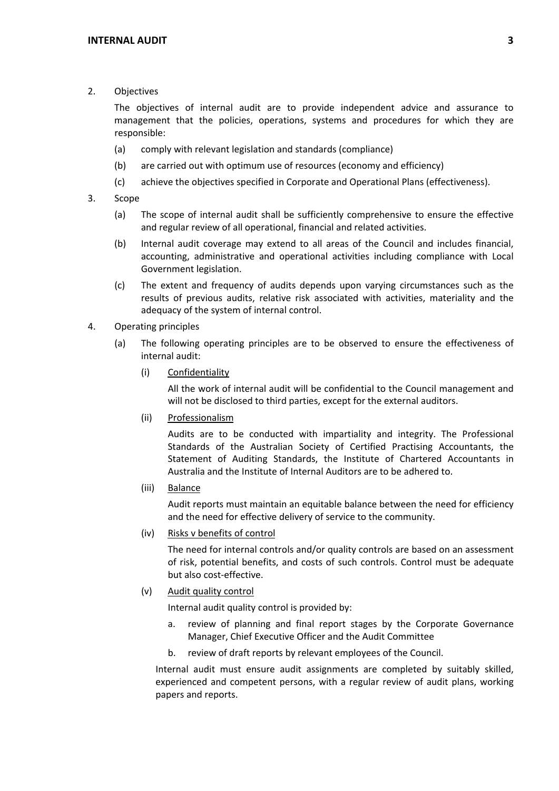2. Objectives

The objectives of internal audit are to provide independent advice and assurance to management that the policies, operations, systems and procedures for which they are responsible:

- (a) comply with relevant legislation and standards (compliance)
- (b) are carried out with optimum use of resources (economy and efficiency)
- (c) achieve the objectives specified in Corporate and Operational Plans (effectiveness).
- 3. Scope
	- (a) The scope of internal audit shall be sufficiently comprehensive to ensure the effective and regular review of all operational, financial and related activities.
	- (b) Internal audit coverage may extend to all areas of the Council and includes financial, accounting, administrative and operational activities including compliance with Local Government legislation.
	- (c) The extent and frequency of audits depends upon varying circumstances such as the results of previous audits, relative risk associated with activities, materiality and the adequacy of the system of internal control.
- 4. Operating principles
	- (a) The following operating principles are to be observed to ensure the effectiveness of internal audit:
		- (i) Confidentiality

 All the work of internal audit will be confidential to the Council management and will not be disclosed to third parties, except for the external auditors.

(ii) Professionalism

Audits are to be conducted with impartiality and integrity. The Professional Standards of the Australian Society of Certified Practising Accountants, the Statement of Auditing Standards, the Institute of Chartered Accountants in Australia and the Institute of Internal Auditors are to be adhered to.

(iii) Balance

 Audit reports must maintain an equitable balance between the need for efficiency and the need for effective delivery of service to the community.

(iv) Risks v benefits of control

The need for internal controls and/or quality controls are based on an assessment of risk, potential benefits, and costs of such controls. Control must be adequate but also cost‐effective.

(v) Audit quality control

Internal audit quality control is provided by:

- a. review of planning and final report stages by the Corporate Governance Manager, Chief Executive Officer and the Audit Committee
- b. review of draft reports by relevant employees of the Council.

Internal audit must ensure audit assignments are completed by suitably skilled, experienced and competent persons, with a regular review of audit plans, working papers and reports.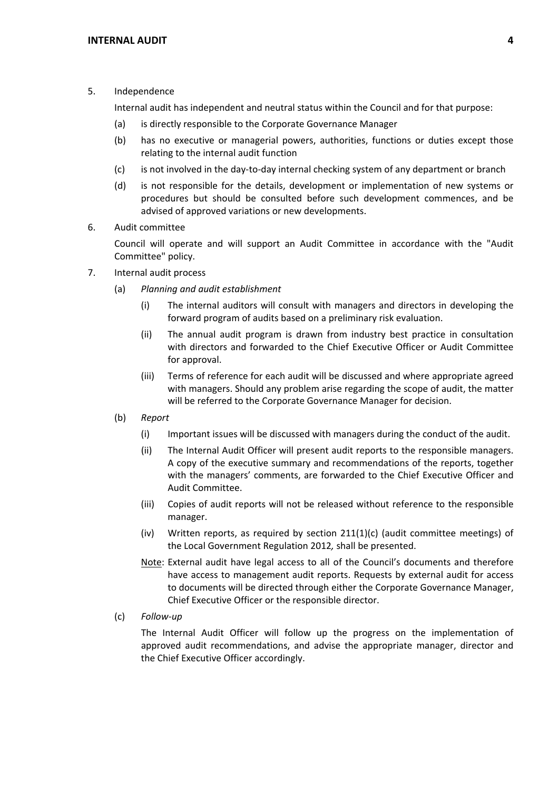## 5. Independence

Internal audit has independent and neutral status within the Council and for that purpose:

- (a) is directly responsible to the Corporate Governance Manager
- (b) has no executive or managerial powers, authorities, functions or duties except those relating to the internal audit function
- (c) is not involved in the day‐to‐day internal checking system of any department or branch
- (d) is not responsible for the details, development or implementation of new systems or procedures but should be consulted before such development commences, and be advised of approved variations or new developments.
- 6. Audit committee

Council will operate and will support an Audit Committee in accordance with the "Audit Committee" policy.

- 7. Internal audit process
	- (a) *Planning and audit establishment*
		- (i) The internal auditors will consult with managers and directors in developing the forward program of audits based on a preliminary risk evaluation.
		- (ii) The annual audit program is drawn from industry best practice in consultation with directors and forwarded to the Chief Executive Officer or Audit Committee for approval.
		- (iii) Terms of reference for each audit will be discussed and where appropriate agreed with managers. Should any problem arise regarding the scope of audit, the matter will be referred to the Corporate Governance Manager for decision.
	- (b) *Report*
		- (i) Important issues will be discussed with managers during the conduct of the audit.
		- (ii) The Internal Audit Officer will present audit reports to the responsible managers. A copy of the executive summary and recommendations of the reports, together with the managers' comments, are forwarded to the Chief Executive Officer and Audit Committee.
		- (iii) Copies of audit reports will not be released without reference to the responsible manager.
		- (iv) Written reports, as required by section  $211(1)(c)$  (audit committee meetings) of the Local Government Regulation 2012*,* shall be presented.
		- Note: External audit have legal access to all of the Council's documents and therefore have access to management audit reports. Requests by external audit for access to documents will be directed through either the Corporate Governance Manager, Chief Executive Officer or the responsible director.
	- (c) *Follow‐up*

The Internal Audit Officer will follow up the progress on the implementation of approved audit recommendations, and advise the appropriate manager, director and the Chief Executive Officer accordingly.